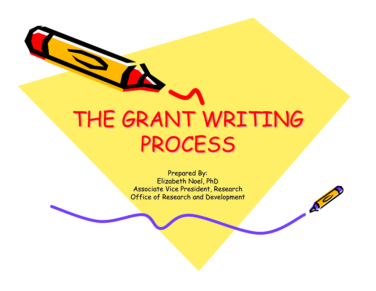# THE GRANT WRITING THE GRANT WRITING PROCESS PROCESS

Prepared By: Elizabeth Noel, PhD Associate Vice President, Research Office of Research and Development

 $\mathcal{S}^{\prime\prime}$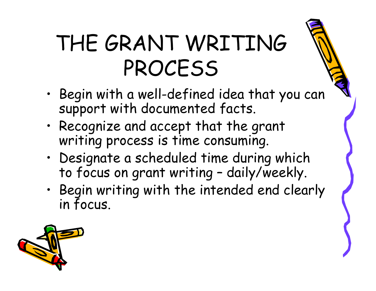- • Begin with a well-defined idea that you can support with documented facts.
- • Recognize and accept that the grant writing process is time consuming.
- • Designate a scheduled time during which to focus on grant writing – daily/weekly.
- • Begin writing with the intended end clearly in focus.

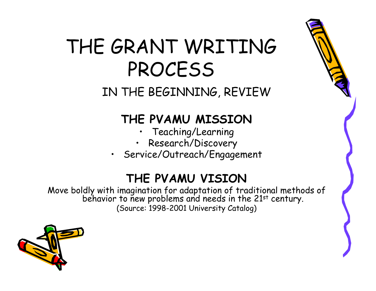IN THE BEGINNING, REVIEW

#### **THE PVAMU MISSION**

- Teaching/Learning
- •Research/Discovery
- Service/Outreach/Engagement

#### **THE PVAMU VISION**

Move boldly with imagination for adaptation of traditional methods of behavior to new problems and needs in the 21st century. (Source: 1998-2001 University Catalog)

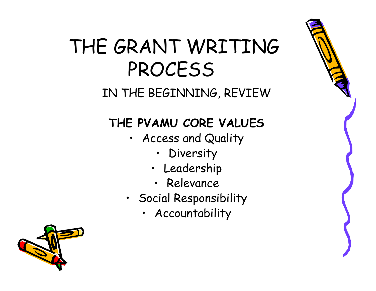#### IN THE BEGINNING, REVIEW

### **THE PVAMU CORE VALUES**

- Access and Quality
	- •Diversity
	- Leadership
	- Relevance
- Social Responsibility
	- Accountability

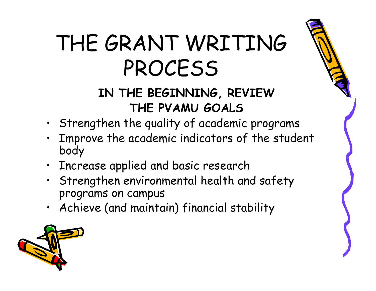### **IN THE BEGINNING, REVIEW THE PVAMU GOALS**

- Strengthen the quality of academic programs
- Improve the academic indicators of the student body
- Increase applied and basic research
- Strengthen environmental health and safety programs on campus
- Achieve (and maintain) financial stability

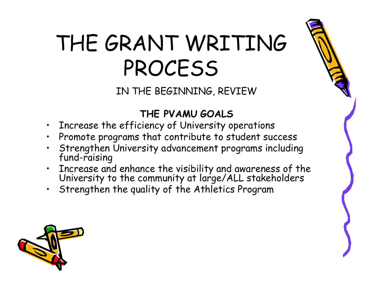IN THE BEGINNING, REVIEW

#### **THE PVAMU GOALS**

- Increase the efficiency of University operations
- •Promote programs that contribute to student success
- •Strengthen University advancement programs including fund-raising
- Increase and enhance the visibility and awareness of the University to the community at large/ALL stakeholders
- Strengthen the quality of the Athletics Program

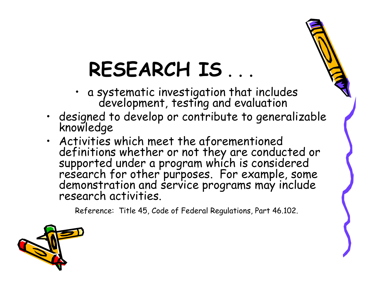## **RESEARCH IS** . . .

- a systematic investigation that includes development, testing and evaluation
- •designed to develop or contribute to generalizable knowledge
- Activities which meet the aforementioned definitions whether or not they are conducted or supported under a program which is considered research for other purposes. For example, some demonstration and service programs may include research activities.

Reference: Title 45, Code of Federal Regulations, Part 46.102.

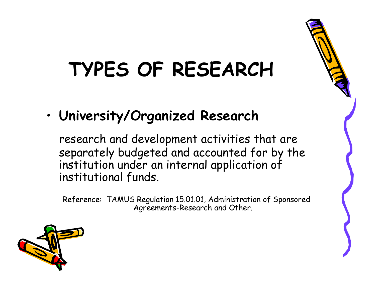## **TYPES OF RESEARCH**

•**University/Organized Research**

research and development activities that are separately budgeted and accounted for by the institution under an internal application of institutional funds.

Reference: TAMUS Regulation 15.01.01, Administration of Sponsored Agreements-Research and Other.

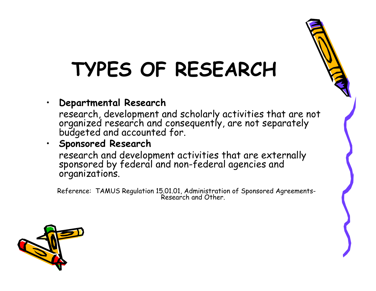## **TYPES OF RESEARCH**

•**Departmental Research**

research, development and scholarly activities that are not organized research and consequently, are not separately budgeted and accounted for.

#### • **Sponsored Research**

research and development activities that are externally sponsored by federal and non-federal agencies and organizations.

Reference: TAMUS Regulation 15.01.01, Administration of Sponsored Agreements-<br>Research and Other.

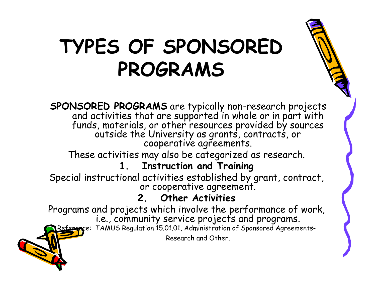## **TYPES OF SPONSORED PROGRAMS**

SPONSORED PROGRAMS are typically non-research projects<br>and activities that are supported in whole or in part with<br>funds, materials, or other resources provided by sources<br>outside the University as grants, contracts, or<br>coo

These activities may also be categorized as research.

#### **1. Instruction and Training**

Special instructional activities established by grant, contract, or cooperative agreement.

#### **2. Other Activities**

Programs and projects which involve the performance of work,<br>i.e., community service projects and programs.

Reference: TAMUS Regulation 15.01.01, Administration of Sponsored Agreements-

Research and Other.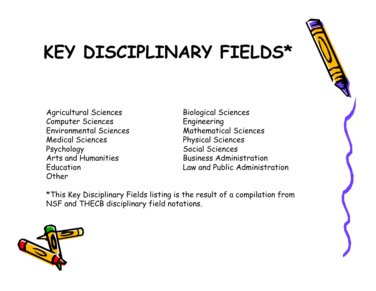

### **KEY DISCIPLINARY FIELDS\***

- Agricultural Sciences Biological Sciences Computer Sciences Engineering Environmental Sciences Medical Sciences Physical Sciences Psychology<br>Arts and Humanities Fig. 2015 (Business Admini Other
- **Business Administration** Education Law and Public Administration

\*This Key Disciplinary Fields listing is the result of a compilation from NSF and THECB disciplinary field notations.

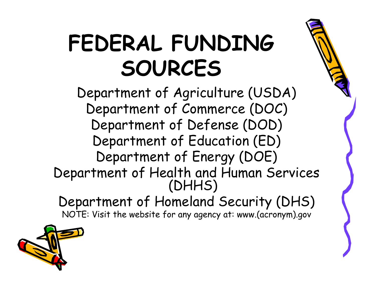# **FEDERAL FUNDING SOURCES**

Department of Agriculture (USDA) Department of Commerce (DOC) Department of Defense (DOD) Department of Education (ED) Department of Energy (DOE) Department of Health and Human Services (DHHS) Department of Homeland Security (DHS)

NOTE: Visit the website for any agency at: www.(acronym).gov

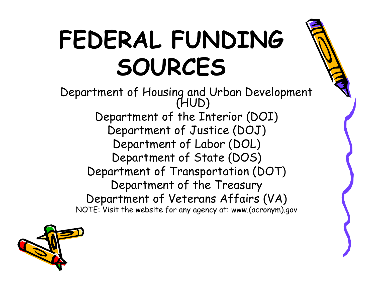# **FEDERAL FUNDING SOURCES**

Department of Housing and Urban Development (HUD) Department of the Interior (DOI) Department of Justice (DOJ) Department of Labor (DOL) Department of State (DOS) Department of Transportation (DOT) Department of the Treasury Department of Veterans Affairs (VA) NOTE: Visit the website for any agency at: www.(acronym).gov

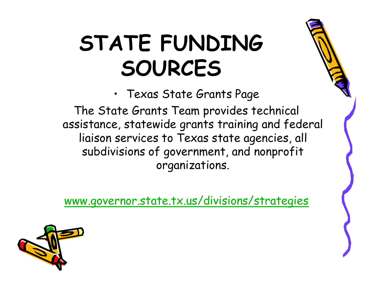# **STATE FUNDING SOURCES**

• Texas State Grants Page

The State Grants Team provides technical assistance, statewide grants training and federal liaison services to Texas state agencies, all subdivisions of government, and nonprofit organizations.

[www.governor.state.tx.us/divisions/strategies](http://www.governor.state.tx.us/divisions/strategies)

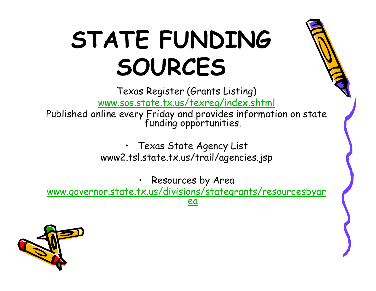# **STATE FUNDING SOURCES**

Texas Register (Grants Listing) [www.sos.state.tx.us/texreg/index.shtml](http://www.sos.state.tx.us/texreg/index.shtml)

Published online every Friday and provides information on state funding opportunities.

• Texas State Agency List www2.tsl.state.tx.us/trail/agencies.jsp

• Resources by Area [www.governor.state.tx.us/divisions/stategrants/resourcesbyar](http://www.governor.state.tx.us/divisions/stategrants/resourcesbyarea) [ea](http://www.governor.state.tx.us/divisions/stategrants/resourcesbyarea)

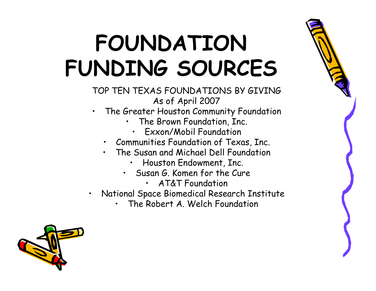# **FOUNDATION FUNDING SOURCES**

TOP TEN TEXAS FOUNDATIONS BY GIVING As of April 2007

- • The Greater Houston Community Foundation
	- • The Brown Foundation, Inc.
		- Exxon/Mobil Foundation
	- Communities Foundation of Texas, Inc.
	- The Susan and Michael Dell Foundation
		- Houston Endowment, Inc.
		- Susan G. Komen for the Cure
			- AT&T Foundation

•

- • National Space Biomedical Research Institute
	- •The Robert A. Welch Foundation

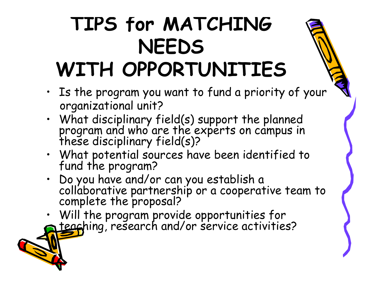### **TIPS for MATCHING NEEDS WITH OPPORTUNITIES**

- Is the program you want to fund a priority of your organizational unit?
- What disciplinary field(s) support the planned program and who are the experts on campus in these disciplinary field(s)?
- What potential sources have been identified to fund the program?
- •Do you have and/or can you establish a collaborative partnership or a cooperative team to complete the proposal?
- Will the program provide opportunities for<br>a teaching, research and/or service activities?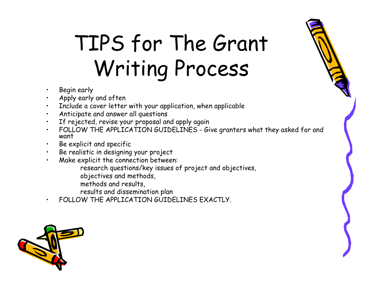# TIPS for The Grant Writing Process

- •Begin early
- •Apply early and often
- •Include a cover letter with your application, when applicable
- •Anticipate and answer all questions
- •If rejected, revise your proposal and apply again
- •FOLLOW THE APPLICATION GUIDELINES - Give granters what they asked for and want
- •Be explicit and specific
- •Be realistic in designing your project
- • Make explicit the connection between:
	- research questions/key issues of project and objectives,
	- objectives and methods,
	- methods and results,
	- results and dissemination plan
- •FOLLOW THE APPLICATION GUIDELINES EXACTLY.

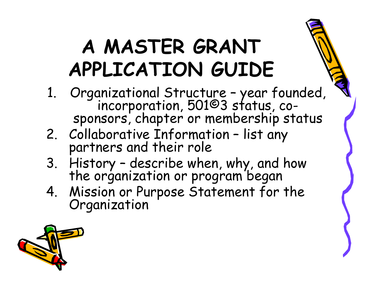- 1. Organizational Structure year founded,<br>incorporation, 501©3 status, cosponsors, chapter or membership status
- 2. Collaborative Information list any partners and their role
- 3. History describe when, why, and how the organization or program began
- 4. Mission or Purpose Statement for the Organization

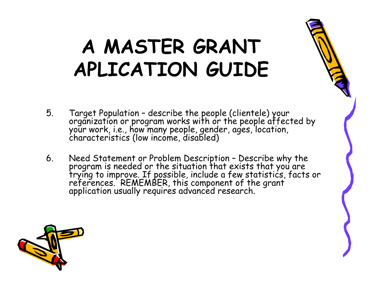- 5. Target Population describe the people (clientele) your<br>organization or program works with or the people affected by<br>your work, i.e., how many people, gender, ages, location,<br>characteristics (low income, disabled)
- 6. Need Statement or Problem Description Describe why the<br>program is needed or the situation that exists that you are<br>trying to improve. If possible, include a few statistics, facts or<br>references. REMEMBER, this componen

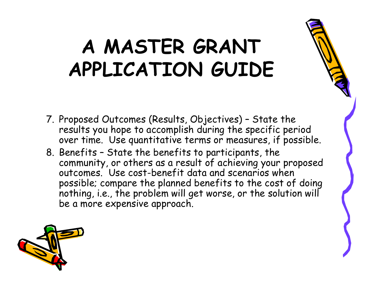- 7. Proposed Outcomes (Results, Objectives) State the results you hope to accomplish during the specific period over time. Use quantitative terms or measures, if possible.
- 8. Benefits State the benefits to participants, the community, or others as a result of achieving your proposed outcomes. Use cost-benefit data and scenarios when possible; compare the planned benefits to the cost of doing nothing, i.e., the problem will get worse, or the solution will be a more expensive approach.

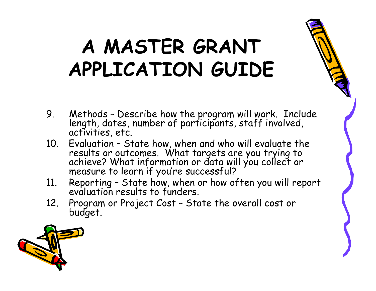- 9. Methods Describe how the program will work. Include length, dates, number of participants, staff involved, activities, etc.
- 10. Evaluation State how, when and who will evaluate the results or outcomes. What targets are you trying to achieve? What information or data will you collect or measure to learn if you're successful?
- 11. Reporting State how, when or how often you will report evaluation results to funders.
- 12. Program or Project Cost State the overall cost or budget.

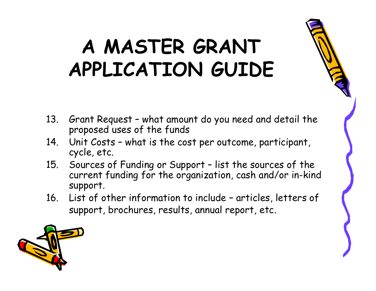- 13. Grant Request what amount do you need and detail the proposed uses of the funds
- 14. Unit Costs what is the cost per outcome, participant, cycle, etc.
- 15. Sources of Funding or Support list the sources of the current funding for the organization, cash and/or in-kind support.
- 16. List of other information to include articles, letters of support, brochures, results, annual report, etc.

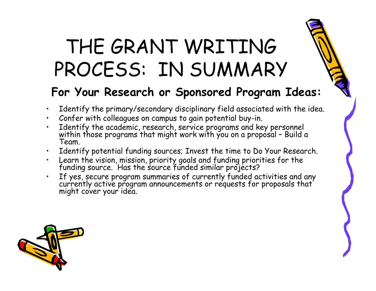## THE GRANT WRITING PROCESS: IN SUMMARY

#### **For Your Research or Sponsored Program Ideas:**

- •Identify the primary/secondary disciplinary field associated with the idea.
- •Confer with colleagues on campus to gain potential buy-in.
- •Identify the academic, research, service programs and key personnel<br>within those programs that might work with you on a proposal - Build a<br>Team
- •Identify potential funding sources; Invest the time to Do Your Research.
- •Learn the vision, mission, priority goals and funding priorities for the funding source. Has the source funded similar projects?
- •If yes, secure program summaries of currently funded activities and any currently active program announcements or requests for proposals that might cover your idea.

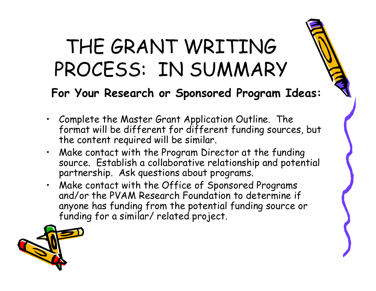## THE GRANT WRITING PROCESS: IN SUMMARY

#### **For Your Research or Sponsored Program Ideas:**

- • Complete the Master Grant Application Outline. The format will be different for different funding sources, but the content required will be similar.
- Make contact with the Program Director at the funding source. Establish a collaborative relationship and potential partnership. Ask questions about programs.
- Make contact with the Office of Sponsored Programs and/or the PVAM Research Foundation to determine if anyone has funding from the potential funding source or funding for a similar/ related project.